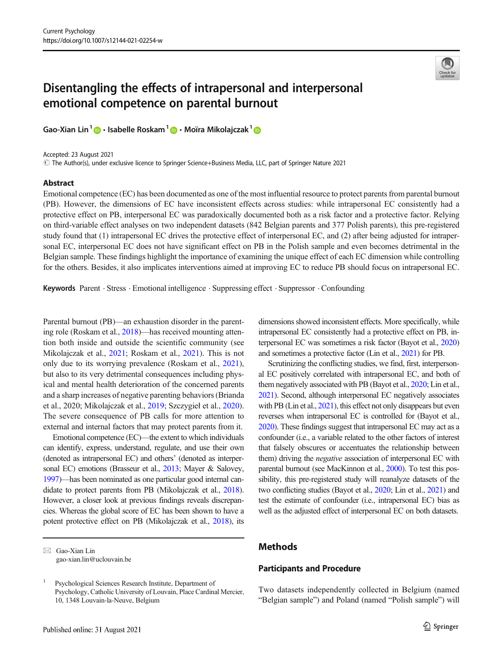# Disentangling the effects of intrapersonal and interpersonal emotional competence on parental burnout

Gao-Xian Lin<sup>1</sup>  $\mathbf{D} \cdot$  Isabelle Roskam<sup>1</sup>  $\mathbf{D} \cdot$  Moïra Mikolajczak<sup>1</sup>  $\mathbf{D}$ 

Accepted: 23 August 2021

# The Author(s), under exclusive licence to Springer Science+Business Media, LLC, part of Springer Nature 2021

### Abstract



Emotional competence (EC) has been documented as one of the most influential resource to protect parents from parental burnout (PB). However, the dimensions of EC have inconsistent effects across studies: while intrapersonal EC consistently had a protective effect on PB, interpersonal EC was paradoxically documented both as a risk factor and a protective factor. Relying on third-variable effect analyses on two independent datasets (842 Belgian parents and 377 Polish parents), this pre-registered study found that (1) intrapersonal EC drives the protective effect of interpersonal EC, and (2) after being adjusted for intrapersonal EC, interpersonal EC does not have significant effect on PB in the Polish sample and even becomes detrimental in the Belgian sample. These findings highlight the importance of examining the unique effect of each EC dimension while controlling for the others. Besides, it also implicates interventions aimed at improving EC to reduce PB should focus on intrapersonal EC.

Keywords Parent . Stress . Emotional intelligence . Suppressing effect . Suppressor . Confounding

Parental burnout (PB)—an exhaustion disorder in the parenting role (Roskam et al., [2018](#page-3-0))—has received mounting attention both inside and outside the scientific community (see Mikolajczak et al., [2021;](#page-3-0) Roskam et al., [2021](#page-3-0)). This is not only due to its worrying prevalence (Roskam et al., [2021](#page-3-0)), but also to its very detrimental consequences including physical and mental health deterioration of the concerned parents and a sharp increases of negative parenting behaviors (Brianda et al., 2020; Mikolajczak et al., [2019](#page-3-0); Szczygieł et al., [2020\)](#page-3-0). The severe consequence of PB calls for more attention to external and internal factors that may protect parents from it.

Emotional competence (EC)—the extent to which individuals can identify, express, understand, regulate, and use their own (denoted as intrapersonal EC) and others' (denoted as interper-sonal EC) emotions (Brasseur et al., [2013;](#page-3-0) Mayer & Salovey, [1997\)](#page-3-0)—has been nominated as one particular good internal candidate to protect parents from PB (Mikolajczak et al., [2018\)](#page-3-0). However, a closer look at previous findings reveals discrepancies. Whereas the global score of EC has been shown to have a potent protective effect on PB (Mikolajczak et al., [2018](#page-3-0)), its dimensions showed inconsistent effects. More specifically, while intrapersonal EC consistently had a protective effect on PB, interpersonal EC was sometimes a risk factor (Bayot et al., [2020](#page-2-0)) and sometimes a protective factor (Lin et al., [2021](#page-3-0)) for PB.

Scrutinizing the conflicting studies, we find, first, interpersonal EC positively correlated with intrapersonal EC, and both of them negatively associated with PB (Bayot et al., [2020](#page-2-0); Lin et al., [2021\)](#page-3-0). Second, although interpersonal EC negatively associates with PB (Lin et al., [2021\)](#page-3-0), this effect not only disappears but even reverses when intrapersonal EC is controlled for (Bayot et al., [2020\)](#page-2-0). These findings suggest that intrapersonal EC may act as a confounder (i.e., a variable related to the other factors of interest that falsely obscures or accentuates the relationship between them) driving the *negative* association of interpersonal EC with parental burnout (see MacKinnon et al., [2000](#page-3-0)). To test this possibility, this pre-registered study will reanalyze datasets of the two conflicting studies (Bayot et al., [2020;](#page-2-0) Lin et al., [2021\)](#page-3-0) and test the estimate of confounder (i.e., intrapersonal EC) bias as well as the adjusted effect of interpersonal EC on both datasets.

# Methods

# Participants and Procedure

Two datasets independently collected in Belgium (named "Belgian sample") and Poland (named "Polish sample") will

 $\boxtimes$  Gao-Xian Lin [gao-xian.lin@uclouvain.be](mailto:gao-xian.lin@uclouvain.be)

<sup>1</sup> Psychological Sciences Research Institute, Department of Psychology, Catholic University of Louvain, Place Cardinal Mercier, 10, 1348 Louvain-la-Neuve, Belgium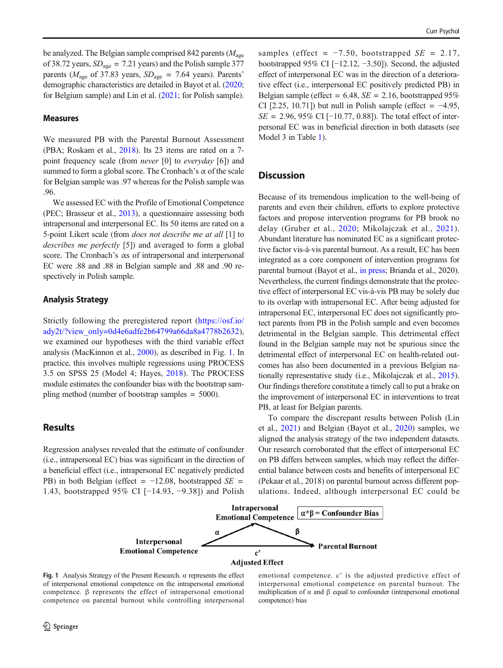be analyzed. The Belgian sample comprised 842 parents  $(M<sub>age</sub>$ of 38.72 years,  $SD<sub>age</sub> = 7.21$  years) and the Polish sample 377 parents ( $M_{\text{age}}$  of 37.83 years,  $SD_{\text{age}} = 7.64$  years). Parents' demographic characteristics are detailed in Bayot et al. ([2020](#page-2-0); for Belgium sample) and Lin et al. [\(2021;](#page-3-0) for Polish sample).

## Measures

We measured PB with the Parental Burnout Assessment (PBA; Roskam et al., [2018\)](#page-3-0). Its 23 items are rated on a 7 point frequency scale (from *never* [0] to *everyday* [6]) and summed to form a global score. The Cronbach's  $\alpha$  of the scale for Belgian sample was .97 whereas for the Polish sample was .96.

We assessed EC with the Profile of Emotional Competence (PEC; Brasseur et al., [2013](#page-3-0)), a questionnaire assessing both intrapersonal and interpersonal EC. Its 50 items are rated on a 5-point Likert scale (from does not describe me at all [1] to describes me perfectly [5]) and averaged to form a global score. The Cronbach's αs of intrapersonal and interpersonal EC were .88 and .88 in Belgian sample and .88 and .90 respectively in Polish sample.

#### Analysis Strategy

Strictly following the preregistered report ([https://osf.io/](https://osf.io/ady2t/?view_only=0d4e6adfe2b64799a66da8a4778b2632) [ady2t/?view\\_only=0d4e6adfe2b64799a66da8a4778b2632](https://osf.io/ady2t/?view_only=0d4e6adfe2b64799a66da8a4778b2632)), we examined our hypotheses with the third variable effect analysis (MacKinnon et al., [2000](#page-3-0)), as described in Fig. 1. In practice, this involves multiple regressions using PROCESS 3.5 on SPSS 25 (Model 4; Hayes, [2018](#page-3-0)). The PROCESS module estimates the confounder bias with the bootstrap sampling method (number of bootstrap samples = 5000).

# **Results**

Regression analyses revealed that the estimate of confounder (i.e., intrapersonal EC) bias was significant in the direction of a beneficial effect (i.e., intrapersonal EC negatively predicted PB) in both Belgian (effect =  $-12.08$ , bootstrapped SE = 1.43, bootstrapped 95% CI [−14.93, −9.38]) and Polish samples (effect =  $-7.50$ , bootstrapped  $SE = 2.17$ , bootstrapped 95% CI [−12.12, −3.50]). Second, the adjusted effect of interpersonal EC was in the direction of a deteriorative effect (i.e., interpersonal EC positively predicted PB) in Belgian sample (effect =  $6.48$ ,  $SE = 2.16$ , bootstrapped 95% CI [2.25, 10.71]) but null in Polish sample (effect =  $-4.95$ ,  $SE = 2.96, 95\% \text{ CI}$  [−10.77, 0.88]). The total effect of interpersonal EC was in beneficial direction in both datasets (see Model 3 in Table [1\)](#page-2-0).

## **Discussion**

Because of its tremendous implication to the well-being of parents and even their children, efforts to explore protective factors and propose intervention programs for PB brook no delay (Gruber et al., [2020](#page-3-0); Mikolajczak et al., [2021](#page-3-0)). Abundant literature has nominated EC as a significant protective factor vis-à-vis parental burnout. As a result, EC has been integrated as a core component of intervention programs for parental burnout (Bayot et al., [in press](#page-3-0); Brianda et al., 2020). Nevertheless, the current findings demonstrate that the protective effect of interpersonal EC vis-à-vis PB may be solely due to its overlap with intrapersonal EC. After being adjusted for intrapersonal EC, interpersonal EC does not significantly protect parents from PB in the Polish sample and even becomes detrimental in the Belgian sample. This detrimental effect found in the Belgian sample may not be spurious since the detrimental effect of interpersonal EC on health-related outcomes has also been documented in a previous Belgian nationally representative study (i.e., Mikolajczak et al., [2015\)](#page-3-0). Our findings therefore constitute a timely call to put a brake on the improvement of interpersonal EC in interventions to treat PB, at least for Belgian parents.

To compare the discrepant results between Polish (Lin et al., [2021](#page-3-0)) and Belgian (Bayot et al., [2020](#page-2-0)) samples, we aligned the analysis strategy of the two independent datasets. Our research corroborated that the effect of interpersonal EC on PB differs between samples, which may reflect the differential balance between costs and benefits of interpersonal EC (Pekaar et al., 2018) on parental burnout across different populations. Indeed, although interpersonal EC could be



Fig. 1 Analysis Strategy of the Present Research.  $\alpha$  represents the effect of interpersonal emotional competence on the intrapersonal emotional competence. β represents the effect of intrapersonal emotional competence on parental burnout while controlling interpersonal

emotional competence. c' is the adjusted predictive effect of interpersonal emotional competence on parental burnout. The multiplication of  $\alpha$  and  $\beta$  equal to confounder (intrapersonal emotional competence) bias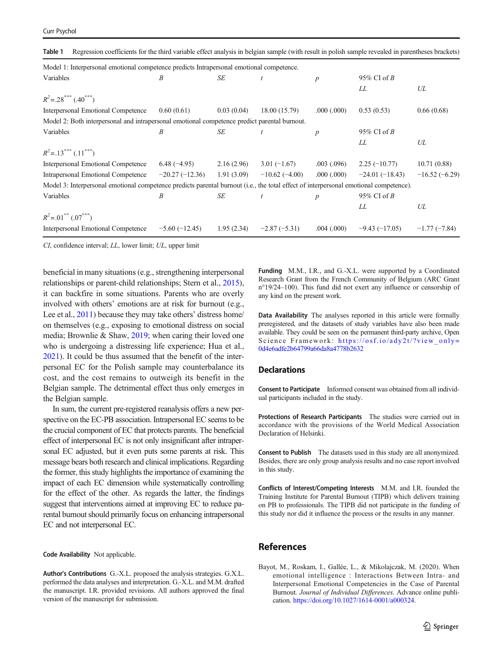<span id="page-2-0"></span>

|  |  |  |  |  |  | Table 1 Regression coefficients for the third variable effect analysis in belgian sample (with result in polish sample revealed in parentheses brackets) |  |
|--|--|--|--|--|--|----------------------------------------------------------------------------------------------------------------------------------------------------------|--|
|--|--|--|--|--|--|----------------------------------------------------------------------------------------------------------------------------------------------------------|--|

| Model 1: Interpersonal emotional competence predicts Intrapersonal emotional competence.                                              |                  |            |                 |                  |                  |                 |
|---------------------------------------------------------------------------------------------------------------------------------------|------------------|------------|-----------------|------------------|------------------|-----------------|
| Variables                                                                                                                             | B                | SE         | $\mathfrak{t}$  | $\boldsymbol{p}$ | 95% CI of $B$    |                 |
|                                                                                                                                       |                  |            |                 |                  | LL               | UL              |
| $R^2$ = .28 <sup>***</sup> (.40 <sup>***</sup> )                                                                                      |                  |            |                 |                  |                  |                 |
| Interpersonal Emotional Competence                                                                                                    | 0.60(0.61)       | 0.03(0.04) | 18.00 (15.79)   | .000(.000)       | 0.53(0.53)       | 0.66(0.68)      |
| Model 2: Both interpersonal and intrapersonal emotional competence predict parental burnout.                                          |                  |            |                 |                  |                  |                 |
| Variables                                                                                                                             | Β                | SE         | $\mathfrak{t}$  | $\boldsymbol{p}$ | 95% CI of $B$    |                 |
|                                                                                                                                       |                  |            |                 |                  | LL               | UL              |
| $R^2$ =.13 <sup>***</sup> (.11 <sup>***</sup> )                                                                                       |                  |            |                 |                  |                  |                 |
| Interpersonal Emotional Competence                                                                                                    | $6.48(-4.95)$    | 2.16(2.96) | $3.01(-1.67)$   | .003(.096)       | $2.25(-10.77)$   | 10.71(0.88)     |
| Intrapersonal Emotional Competence                                                                                                    | $-20.27(-12.36)$ | 1.91(3.09) | $-10.62(-4.00)$ | .000(.000)       | $-24.01(-18.43)$ | $-16.52(-6.29)$ |
| Model 3: Interpersonal emotional competence predicts parental burnout (i.e., the total effect of interpersonal emotional competence). |                  |            |                 |                  |                  |                 |
| Variables                                                                                                                             | B                | SE         | $\mathfrak{t}$  | $\boldsymbol{p}$ | 95% CI of $B$    |                 |
|                                                                                                                                       |                  |            |                 |                  | LL               | UL              |
| $R^2$ = .01 <sup>**</sup> (.07 <sup>***</sup> )                                                                                       |                  |            |                 |                  |                  |                 |
| Interpersonal Emotional Competence                                                                                                    | $-5.60(-12.45)$  | 1.95(2.34) | $-2.87(-5.31)$  | .004(.000)       | $-9.43(-17.05)$  | $-1.77(-7.84)$  |

CI, confidence interval; LL, lower limit; UL, upper limit

beneficial in many situations (e.g., strengthening interpersonal relationships or parent-child relationships; Stern et al., [2015\)](#page-3-0), it can backfire in some situations. Parents who are overly involved with others' emotions are at risk for burnout (e.g., Lee et al., [2011](#page-3-0)) because they may take others' distress home/ on themselves (e.g., exposing to emotional distress on social media; Brownlie & Shaw, [2019](#page-3-0); when caring their loved one who is undergoing a distressing life experience; Hua et al., [2021\)](#page-3-0). It could be thus assumed that the benefit of the interpersonal EC for the Polish sample may counterbalance its cost, and the cost remains to outweigh its benefit in the Belgian sample. The detrimental effect thus only emerges in the Belgian sample.

In sum, the current pre-registered reanalysis offers a new perspective on the EC-PB association. Intrapersonal EC seems to be the crucial component of EC that protects parents. The beneficial effect of interpersonal EC is not only insignificant after intrapersonal EC adjusted, but it even puts some parents at risk. This message bears both research and clinical implications. Regarding the former, this study highlights the importance of examining the impact of each EC dimension while systematically controlling for the effect of the other. As regards the latter, the findings suggest that interventions aimed at improving EC to reduce parental burnout should primarily focus on enhancing intrapersonal EC and not interpersonal EC.

Code Availability Not applicable.

Author's Contributions G.-X.L. proposed the analysis strategies. G.X.L. performed the data analyses and interpretation. G.-X.L. and M.M. drafted the manuscript. I.R. provided revisions. All authors approved the final version of the manuscript for submission.

Funding M.M., I.R., and G.-X.L. were supported by a Coordinated Research Grant from the French Community of Belgium (ARC Grant n°19/24–100). This fund did not exert any influence or censorship of any kind on the present work.

Data Availability The analyses reported in this article were formally preregistered, and the datasets of study variables have also been made available. They could be seen on the permanent third-party archive, Open Science Framework: [https://osf.io/ady2t/?view\\_only=](https://osf.io/ady2t/?view_only=0d4e6adfe2b64799a66da8a4778b2632) [0d4e6adfe2b64799a66da8a4778b2632](https://osf.io/ady2t/?view_only=0d4e6adfe2b64799a66da8a4778b2632)

### **Declarations**

Consent to Participate Informed consent was obtained from all individual participants included in the study.

Protections of Research Participants The studies were carried out in accordance with the provisions of the World Medical Association Declaration of Helsinki.

Consent to Publish The datasets used in this study are all anonymized. Besides, there are only group analysis results and no case report involved in this study.

Conflicts of Interest/Competing Interests M.M. and I.R. founded the Training Institute for Parental Burnout (TIPB) which delivers training on PB to professionals. The TIPB did not participate in the funding of this study nor did it influence the process or the results in any manner.

## References

Bayot, M., Roskam, I., Gallée, L., & Mikolajczak, M. (2020). When emotional intelligence : Interactions Between Intra- and Interpersonal Emotional Competencies in the Case of Parental Burnout. Journal of Individual Differences. Advance online publication. [https://doi.org/10.1027/1614-0001/a000324.](https://doi.org/10.1027/1614-0001/a000324)